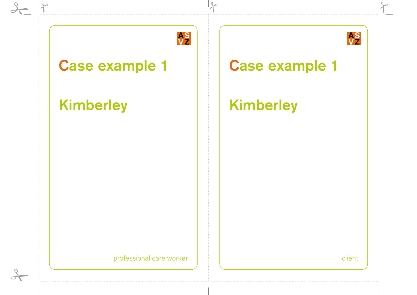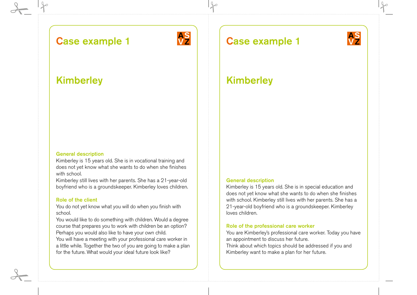

# Kimberley

 $90$ 

### General description

Kimberley is 15 years old. She is in vocational training and does not yet know what she wants to do when she finishes with school.

Kimberley still lives with her parents. She has a 21-year-old boyfriend who is a groundskeeper. Kimberley loves children.

#### Role of the client

You do not yet know what you will do when you finish with school.

You would like to do something with children. Would a degree course that prepares you to work with children be an option? Perhaps you would also like to have your own child.

You will have a meeting with your professional care worker in a little while. Together the two of you are going to make a plan for the future. What would your ideal future look like?

## Case example 1



# Kimberley

#### General description

Kimberley is 15 years old. She is in special education and does not yet know what she wants to do when she finishes with school. Kimberley still lives with her parents. She has a 21-year-old boyfriend who is a groundskeeper. Kimberley loves children.

#### Role of the professional care worker

You are Kimberley's professional care worker. Today you have an appointment to discuss her future. Think about which topics should be addressed if you and Kimberley want to make a plan for her future.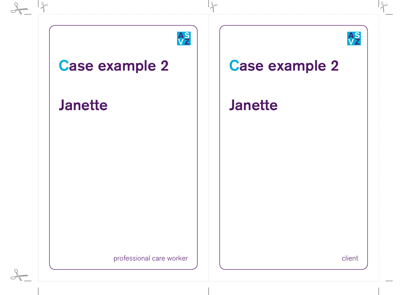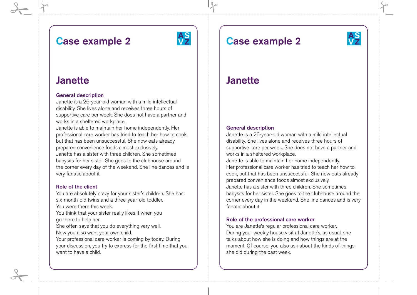

# **Janette**

### General description

Janette is a 26-year-old woman with a mild intellectual disability. She lives alone and receives three hours of supportive care per week. She does not have a partner and works in a sheltered workplace.

Janette is able to maintain her home independently. Her professional care worker has tried to teach her how to cook, but that has been unsuccessful. She now eats already prepared convenience foods almost exclusively. Janette has a sister with three children. She sometimes babysits for her sister. She goes to the clubhouse around the corner every day of the weekend. She line dances and is very fanatic about it.

### Role of the client

You are absolutely crazy for your sister's children. She has six-month-old twins and a three-year-old toddler. You were there this week.

You think that your sister really likes it when you go there to help her.

She often says that you do everything very well. Now you also want your own child.

Your professional care worker is coming by today. During your discussion, you try to express for the first time that you want to have a child.

## Case example 2



# **Janette**

### General description

Janette is a 26-year-old woman with a mild intellectual disability. She lives alone and receives three hours of supportive care per week. She does not have a partner and works in a sheltered workplace. Janette is able to maintain her home independently. Her professional care worker has tried to teach her how to cook, but that has been unsuccessful. She now eats already prepared convenience foods almost exclusively. Janette has a sister with three children. She sometimes

babysits for her sister. She goes to the clubhouse around the corner every day in the weekend. She line dances and is very fanatic about it.

### Role of the professional care worker

You are Janette's regular professional care worker. During your weekly house visit at Janette's, as usual, she talks about how she is doing and how things are at the moment. Of course, you also ask about the kinds of things she did during the past week.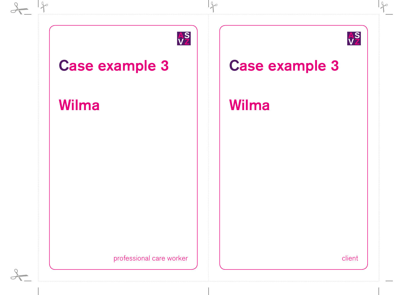

 $\overline{Q}$ 

client

 $\mathbb{Q}_{\infty}$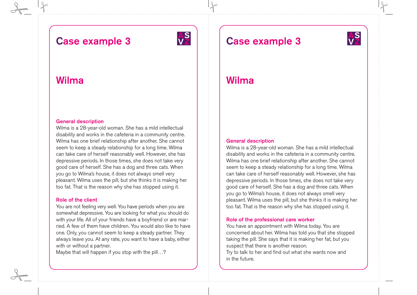

## Wilma

 $\int$ 

#### General description

Wilma is a 28-year-old woman. She has a mild intellectual disability and works in the cafeteria in a community centre. Wilma has one brief relationship after another. She cannot seem to keep a steady relationship for a long time. Wilma can take care of herself reasonably well. However, she has depressive periods. In those times, she does not take very good care of herself. She has a dog and three cats. When you go to Wilma's house, it does not always smell very pleasant. Wilma uses the pill, but she thinks it is making her too fat. That is the reason why she has stopped using it.

#### Role of the client

You are not feeling very well. You have periods when you are somewhat depressive. You are looking for what you should do with your life. All of your friends have a boyfriend or are married. A few of them have children. You would also like to have one. Only, you cannot seem to keep a steady partner. They always leave you. At any rate, you want to have a baby, either with or without a partner.

Maybe that will happen if you stop with the pill...?

### Case example 3



# Wilma

#### General description

Wilma is a 28-year-old woman. She has a mild intellectual disability and works in the cafeteria in a community centre. Wilma has one brief relationship after another. She cannot seem to keep a steady relationship for a long time. Wilma can take care of herself reasonably well. However, she has depressive periods. In those times, she does not take very good care of herself. She has a dog and three cats. When you go to Wilma's house, it does not always smell very pleasant. Wilma uses the pill, but she thinks it is making her too fat. That is the reason why she has stopped using it.

#### Role of the professional care worker

You have an appointment with Wilma today. You are concerned about her. Wilma has told you that she stopped taking the pill. She says that it is making her fat, but you suspect that there is another reason. Try to talk to her and find out what she wants now and in the future.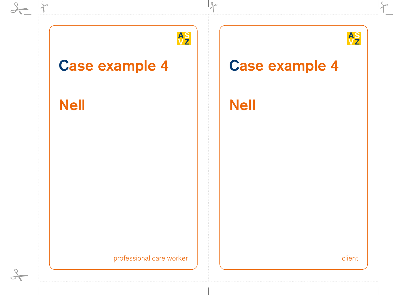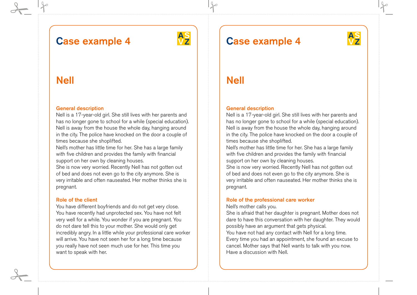

## Nell

 $\rho$ 

### General description

Nell is a 17-year-old girl. She still lives with her parents and has no longer gone to school for a while (special education). Nell is away from the house the whole day, hanging around in the city. The police have knocked on the door a couple of times because she shoplifted.

Nell's mother has little time for her. She has a large family with five children and provides the family with financial support on her own by cleaning houses.

She is now very worried. Recently Nell has not gotten out of bed and does not even go to the city anymore. She is very irritable and often nauseated. Her mother thinks she is pregnant.

#### Role of the client

You have different boyfriends and do not get very close. You have recently had unprotected sex. You have not felt very well for a while. You wonder if you are pregnant. You do not dare tell this to your mother. She would only get incredibly angry. In a little while your professional care worker will arrive. You have not seen her for a long time because you really have not seen much use for her. This time you want to speak with her.

# Case example 4



# Nell

#### General description

Nell is a 17-year-old girl. She still lives with her parents and has no longer gone to school for a while (special education). Nell is away from the house the whole day, hanging around in the city. The police have knocked on the door a couple of times because she shoplifted.

Nell's mother has little time for her. She has a large family with five children and provides the family with financial support on her own by cleaning houses.

She is now very worried. Recently Nell has not gotten out of bed and does not even go to the city anymore. She is very irritable and often nauseated. Her mother thinks she is pregnant.

#### Role of the professional care worker

#### Nell's mother calls you.

She is afraid that her daughter is pregnant. Mother does not dare to have this conversation with her daughter. They would possibly have an argument that gets physical. You have not had any contact with Nell for a long time. Every time you had an appointment, she found an excuse to cancel. Mother says that Nell wants to talk with you now. Have a discussion with Nell.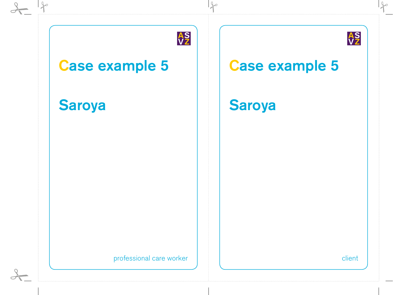

 $\mathbb{Q}_{\infty}$